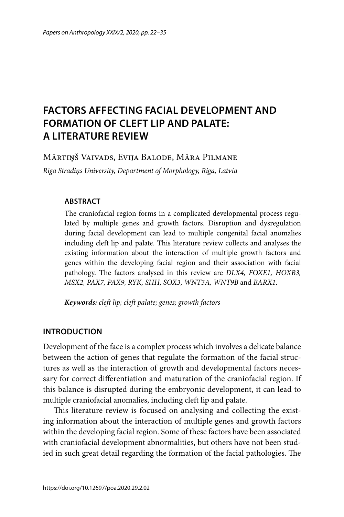# **FACTORS AFFECTING FACIAL DEVELOPMENT AND FORMATION OF CLEFT LIP AND PALATE: A LITERATURE REVIEW**

Mārtiņš Vaivads, Evija Balode, Māra Pilmane

*Riga Stradiņs University, Department of Morphology, Riga, Latvia*

#### **ABSTRACT**

The craniofacial region forms in a complicated developmental process regulated by multiple genes and growth factors. Disruption and dysregulation during facial development can lead to multiple congenital facial anomalies including cleft lip and palate. This literature review collects and analyses the existing information about the interaction of multiple growth factors and genes within the developing facial region and their association with facial pathology. The factors analysed in this review are *DLX4, FOXE1, HOXB3, MSX2, PAX7, PAX9, RYK, SHH, SOX3, WNT3A, WNT9B* and *BARX1*.

*Keywords: cleft lip; cleft palate; genes; growth factors*

#### **INTRODUCTION**

Development of the face is a complex process which involves a delicate balance between the action of genes that regulate the formation of the facial structures as well as the interaction of growth and developmental factors necessary for correct differentiation and maturation of the craniofacial region. If this balance is disrupted during the embryonic development, it can lead to multiple craniofacial anomalies, including cleft lip and palate.

This literature review is focused on analysing and collecting the existing information about the interaction of multiple genes and growth factors within the developing facial region. Some of these factors have been associated with craniofacial development abnormalities, but others have not been studied in such great detail regarding the formation of the facial pathologies. The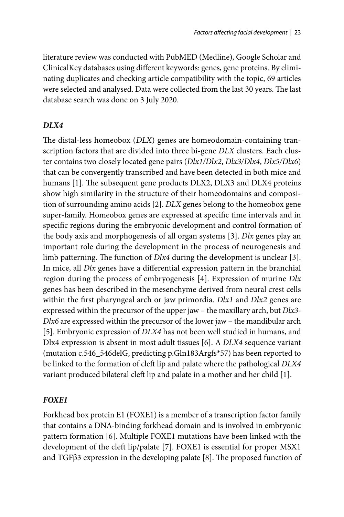literature review was conducted with PubMED (Medline), Google Scholar and ClinicalKey databases using different keywords: genes, gene proteins. By eliminating duplicates and checking article compatibility with the topic, 69 articles were selected and analysed. Data were collected from the last 30 years. The last database search was done on 3 July 2020.

#### *DLX4*

The distal-less homeobox (*DLX*) genes are homeodomain-containing transcription factors that are divided into three bi-gene *DLX* clusters. Each cluster contains two closely located gene pairs (*Dlx1/Dlx2*, *Dlx3/Dlx4*, *Dlx5/Dlx6*) that can be convergently transcribed and have been detected in both mice and humans [1]. The subsequent gene products DLX2, DLX3 and DLX4 proteins show high similarity in the structure of their homeodomains and composition of surrounding amino acids [2]. *DLX* genes belong to the homeobox gene super-family. Homeobox genes are expressed at specific time intervals and in specific regions during the embryonic development and control formation of the body axis and morphogenesis of all organ systems [3]. *Dlx* genes play an important role during the development in the process of neurogenesis and limb patterning. The function of *Dlx4* during the development is unclear [3]. In mice, all *Dlx* genes have a differential expression pattern in the branchial region during the process of embryogenesis [4]. Expression of murine *Dlx* genes has been described in the mesenchyme derived from neural crest cells within the first pharyngeal arch or jaw primordia. *Dlx1* and *Dlx2* genes are expressed within the precursor of the upper jaw – the maxillary arch, but *Dlx3- Dlx6* are expressed within the precursor of the lower jaw – the mandibular arch [5]. Embryonic expression of *DLX4* has not been well studied in humans, and Dlx4 expression is absent in most adult tissues [6]. A *DLX4* sequence variant (mutation c.546\_546delG, predicting p.Gln183Argfs\*57) has been reported to be linked to the formation of cleft lip and palate where the pathological *DLX4* variant produced bilateral cleft lip and palate in a mother and her child [1].

## *FOXE1*

Forkhead box protein E1 (FOXE1) is a member of a transcription factor family that contains a DNA-binding forkhead domain and is involved in embryonic pattern formation [6]. Multiple FOXE1 mutations have been linked with the development of the cleft lip/palate [7]. FOXE1 is essential for proper MSX1 and TGF $\beta$ 3 expression in the developing palate [8]. The proposed function of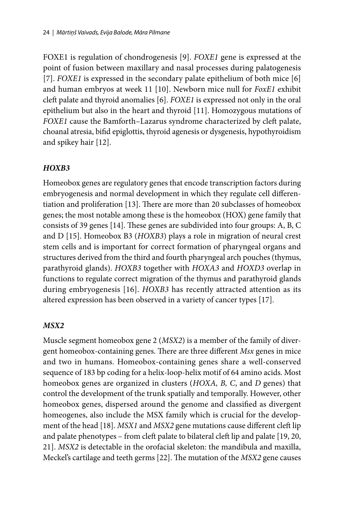FOXE1 is regulation of chondrogenesis [9]. *FOXE1* gene is expressed at the point of fusion between maxillary and nasal processes during palatogenesis [7]. *FOXE1* is expressed in the secondary palate epithelium of both mice [6] and human embryos at week 11 [10]. Newborn mice null for *FoxE1* exhibit cleft palate and thyroid anomalies [6]. *FOXE1* is expressed not only in the oral epithelium but also in the heart and thyroid [11]. Homozygous mutations of *FOXE1* cause the Bamforth–Lazarus syndrome characterized by cleft palate, choanal atresia, bifid epiglottis, thyroid agenesis or dysgenesis, hypothyroidism and spikey hair [12].

# *HOXB3*

Homeobox genes are regulatory genes that encode transcription factors during embryogenesis and normal development in which they regulate cell differentiation and proliferation [13]. There are more than 20 subclasses of homeobox genes; the most notable among these is the homeobox (HOX) gene family that consists of 39 genes [14]. These genes are subdivided into four groups:  $A$ ,  $B$ ,  $C$ and D [15]. Homeobox B3 (*HOXB3*) plays a role in migration of neural crest stem cells and is important for correct formation of pharyngeal organs and structures derived from the third and fourth pharyngeal arch pouches (thymus, parathyroid glands). *HOXB3* together with *HOXA3* and *HOXD3* overlap in functions to regulate correct migration of the thymus and parathyroid glands during embryogenesis [16]. *HOXB3* has recently attracted attention as its altered expression has been observed in a variety of cancer types [17].

## *MSX2*

Muscle segment homeobox gene 2 (*MSX2*) is a member of the family of divergent homeobox-containing genes. There are three different *Msx* genes in mice and two in humans. Homeobox-containing genes share a well-conserved sequence of 183 bp coding for a helix-loop-helix motif of 64 amino acids. Most homeobox genes are organized in clusters (*HOXA, B, C*, and *D* genes) that control the development of the trunk spatially and temporally. However, other homeobox genes, dispersed around the genome and classified as divergent homeogenes, also include the MSX family which is crucial for the development of the head [18]. *MSX1* and *MSX2* gene mutations cause different cleft lip and palate phenotypes – from cleft palate to bilateral cleft lip and palate [19, 20, 21]. *MSX2* is detectable in the orofacial skeleton: the mandibula and maxilla, Meckel's cartilage and teeth germs [22]. The mutation of the *MSX2* gene causes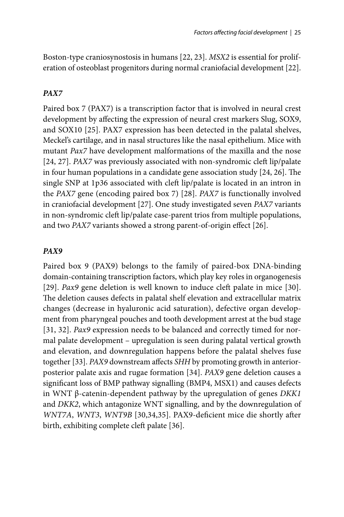Boston-type craniosynostosis in humans [22, 23]. *MSX2* is essential for proliferation of osteoblast progenitors during normal craniofacial development [22].

### *PAX7*

Paired box 7 (PAX7) is a transcription factor that is involved in neural crest development by affecting the expression of neural crest markers Slug, SOX9, and SOX10 [25]. PAX7 expression has been detected in the palatal shelves, Meckel's cartilage, and in nasal structures like the nasal epithelium. Mice with mutant *Pax7* have development malformations of the maxilla and the nose [24, 27]. *PAX7* was previously associated with non-syndromic cleft lip/palate in four human populations in a candidate gene association study  $[24, 26]$ . The single SNP at 1p36 associated with cleft lip/palate is located in an intron in the *PAX7* gene (encoding paired box 7) [28]. *PAX7* is functionally involved in craniofacial development [27]. One study investigated seven *PAX7* variants in non-syndromic cleft lip/palate case-parent trios from multiple populations, and two *PAX7* variants showed a strong parent-of-origin effect [26].

#### *PAX9*

Paired box 9 (PAX9) belongs to the family of paired-box DNA-binding domain-containing transcription factors, which play key roles in organogenesis [29]. *Pax9* gene deletion is well known to induce cleft palate in mice [30]. The deletion causes defects in palatal shelf elevation and extracellular matrix changes (decrease in hyaluronic acid saturation), defective organ development from pharyngeal pouches and tooth development arrest at the bud stage [31, 32]. *Pax9* expression needs to be balanced and correctly timed for normal palate development – upregulation is seen during palatal vertical growth and elevation, and downregulation happens before the palatal shelves fuse together [33]. *PAX9* downstream affects *SHH* by promoting growth in anteriorposterior palate axis and rugae formation [34]. *PAX9* gene deletion causes a significant loss of BMP pathway signalling (BMP4, MSX1) and causes defects in WNT β-catenin-dependent pathway by the upregulation of genes *DKK1* and *DKK2*, which antagonize WNT signalling, and by the downregulation of *WNT7A*, *WNT3*, *WNT9B* [30,34,35]. PAX9-deficient mice die shortly after birth, exhibiting complete cleft palate [36].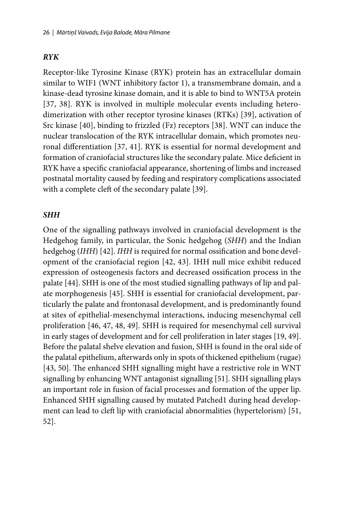# *RYK*

Receptor-like Tyrosine Kinase (RYK) protein has an extracellular domain similar to WIF1 (WNT inhibitory factor 1), a transmembrane domain, and a kinase-dead tyrosine kinase domain, and it is able to bind to WNT5A protein [37, 38]. RYK is involved in multiple molecular events including heterodimerization with other receptor tyrosine kinases (RTKs) [39], activation of Src kinase [40], binding to frizzled (Fz) receptors [38]. WNT can induce the nuclear translocation of the RYK intracellular domain, which promotes neuronal differentiation [37, 41]. RYK is essential for normal development and formation of craniofacial structures like the secondary palate. Mice deficient in RYK have a specific craniofacial appearance, shortening of limbs and increased postnatal mortality caused by feeding and respiratory complications associated with a complete cleft of the secondary palate [39].

## *SHH*

One of the signalling pathways involved in craniofacial development is the Hedgehog family, in particular, the Sonic hedgehog (*SHH*) and the Indian hedgehog (*IHH*) [42]. *IHH* is required for normal ossification and bone development of the craniofacial region [42, 43]. IHH null mice exhibit reduced expression of osteogenesis factors and decreased ossification process in the palate [44]. SHH is one of the most studied signalling pathways of lip and palate morphogenesis [45]. SHH is essential for craniofacial development, particularly the palate and frontonasal development, and is predominantly found at sites of epithelial-mesenchymal interactions, inducing mesenchymal cell proliferation [46, 47, 48, 49]. SHH is required for mesenchymal cell survival in early stages of development and for cell proliferation in later stages [19, 49]. Before the palatal shelve elevation and fusion, SHH is found in the oral side of the palatal epithelium, afterwards only in spots of thickened epithelium (rugae) [43, 50]. The enhanced SHH signalling might have a restrictive role in WNT signalling by enhancing WNT antagonist signalling [51]. SHH signalling plays an important role in fusion of facial processes and formation of the upper lip. Enhanced SHH signalling caused by mutated Patched1 during head development can lead to cleft lip with craniofacial abnormalities (hypertelorism) [51, 52].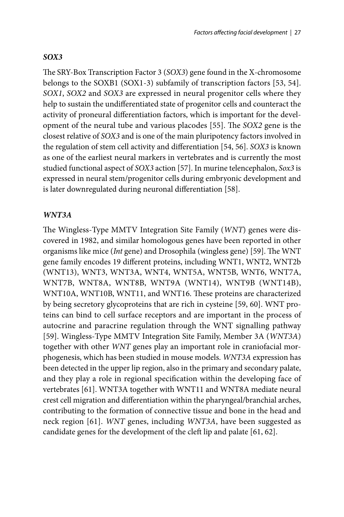#### *SOX3*

The SRY-Box Transcription Factor 3 (*SOX3*) gene found in the X-chromosome belongs to the SOXB1 (SOX1-3) subfamily of transcription factors [53, 54]. *SOX1*, *SOX2* and *SOX3* are expressed in neural progenitor cells where they help to sustain the undifferentiated state of progenitor cells and counteract the activity of proneural differentiation factors, which is important for the development of the neural tube and various placodes [55]. The *SOX2* gene is the closest relative of *SOX3* and is one of the main pluripotency factors involved in the regulation of stem cell activity and differentiation [54, 56]. *SOX3* is known as one of the earliest neural markers in vertebrates and is currently the most studied functional aspect of *SOX3* action [57]. In murine telencephalon, *Sox3* is expressed in neural stem/progenitor cells during embryonic development and is later downregulated during neuronal differentiation [58].

#### *WNT3A*

The Wingless-Type MMTV Integration Site Family (*WNT*) genes were discovered in 1982, and similar homologous genes have been reported in other organisms like mice (*Int* gene) and Drosophila (wingless gene) [59]. The WNT gene family encodes 19 different proteins, including WNT1, WNT2, WNT2b (WNT13), WNT3, WNT3A, WNT4, WNT5A, WNT5B, WNT6, WNT7A, WNT7B, WNT8A, WNT8B, WNT9A (WNT14), WNT9B (WNT14B), WNT10A, WNT10B, WNT11, and WNT16. These proteins are characterized by being secretory glycoproteins that are rich in cysteine [59, 60]. WNT proteins can bind to cell surface receptors and are important in the process of autocrine and paracrine regulation through the WNT signalling pathway [59]. Wingless-Type MMTV Integration Site Family, Member 3A (*WNT3A*) together with other *WNT* genes play an important role in craniofacial morphogenesis, which has been studied in mouse models. *WNT3A* expression has been detected in the upper lip region, also in the primary and secondary palate, and they play a role in regional specification within the developing face of vertebrates [61]. WNT3A together with WNT11 and WNT8A mediate neural crest cell migration and differentiation within the pharyngeal/branchial arches, contributing to the formation of connective tissue and bone in the head and neck region [61]. *WNT* genes, including *WNT3A*, have been suggested as candidate genes for the development of the cleft lip and palate [61, 62].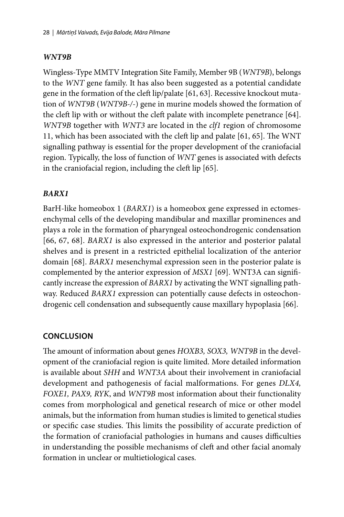# *WNT9B*

Wingless-Type MMTV Integration Site Family, Member 9B (*WNT9B*), belongs to the *WNT* gene family. It has also been suggested as a potential candidate gene in the formation of the cleft lip/palate [61, 63]. Recessive knockout mutation of *WNT9B* (*WNT9B-/-*) gene in murine models showed the formation of the cleft lip with or without the cleft palate with incomplete penetrance [64]. *WNT9B* together with *WNT3* are located in the *clf1* region of chromosome 11, which has been associated with the cleft lip and palate  $[61, 65]$ . The WNT signalling pathway is essential for the proper development of the craniofacial region. Typically, the loss of function of *WNT* genes is associated with defects in the craniofacial region, including the cleft lip [65].

# *BARX1*

BarH‐like homeobox 1 (*BARX1*) is a homeobox gene expressed in ectomesenchymal cells of the developing mandibular and maxillar prominences and plays a role in the formation of pharyngeal osteochondrogenic conden sation [66, 67, 68]. *BARX1* is also expressed in the anterior and posterior palatal shelves and is present in a restricted epithelial localization of the anterior domain [68]. *BARX1* mesenchymal expression seen in the posterior palate is complemented by the anterior expression of *MSX1* [69]. WNT3A can significantly increase the expression of *BARX1* by activating the WNT signalling pathway. Reduced *BARX1* expression can potentially cause defects in osteochondrogenic cell condensation and subsequently cause maxillary hypoplasia [66].

# **CONCLUSION**

The amount of information about genes *HOXB3*, *SOX3*, *WNT9B* in the development of the craniofacial region is quite limited. More detailed information is available about *SHH* and *WNT3A* about their involvement in craniofacial development and pathogenesis of facial malformations. For genes *DLX4, FOXE1, PAX9, RYK*, and *WNT9B* most information about their functionality comes from morphological and genetical research of mice or other model animals, but the information from human studies is limited to genetical studies or specific case studies. This limits the possibility of accurate prediction of the formation of craniofacial pathologies in humans and causes difficulties in understanding the possible mechanisms of cleft and other facial anomaly formation in unclear or multietiological cases.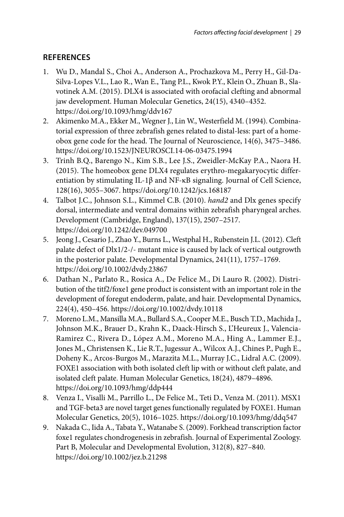# **REFERENCES**

- 1. Wu D., Mandal S., Choi A., Anderson A., Prochazkova M., Perry H., Gil-Da-Silva-Lopes V.L., Lao R., Wan E., Tang P.L., Kwok P.Y., Klein O., Zhuan B., Slavotinek A.M. (2015). DLX4 is associated with orofacial clefting and abnormal jaw development. Human Molecular Genetics, 24(15), 4340–4352. https://doi.org/10.1093/hmg/ddv167
- 2. Akimenko M.A., Ekker M., Wegner J., Lin W., Westerfield M. (1994). Combinatorial expression of three zebrafish genes related to distal-less: part of a homeobox gene code for the head. The Journal of Neuroscience, 14(6), 3475–3486. https://doi.org/10.1523/JNEUROSCI.14-06-03475.1994
- 3. Trinh B.Q., Barengo N., Kim S.B., Lee J.S., Zweidler-McKay P.A., Naora H. (2015). The homeobox gene DLX4 regulates erythro-megakaryocytic differentiation by stimulating IL-1β and NF-κB signaling. Journal of Cell Science, 128(16), 3055–3067. https://doi.org/10.1242/jcs.168187
- 4. Talbot J.C., Johnson S.L., Kimmel C.B. (2010). *hand2* and Dlx genes specify dorsal, intermediate and ventral domains within zebrafish pharyngeal arches. Development (Cambridge, England), 137(15), 2507–2517. https://doi.org/10.1242/dev.049700
- 5. Jeong J., Cesario J., Zhao Y., Burns L., Westphal H., Rubenstein J.L. (2012). Cleft palate defect of Dlx1/2-/- mutant mice is caused by lack of vertical outgrowth in the posterior palate. Developmental Dynamics, 241(11), 1757–1769. https://doi.org/10.1002/dvdy.23867
- 6. Dathan N., Parlato R., Rosica A., De Felice M., Di Lauro R. (2002). Distribution of the titf2/foxe1 gene product is consistent with an important role in the development of foregut endoderm, palate, and hair. Developmental Dynamics, 224(4), 450–456. https://doi.org/10.1002/dvdy.10118
- 7. Moreno L.M., Mansilla M.A., Bullard S.A., Cooper M.E., Busch T.D., Machida J., Johnson M.K., Brauer D., Krahn K., Daack-Hirsch S., L'Heureux J., Valencia-Ramirez C., Rivera D., López A.M., Moreno M.A., Hing A., Lammer E.J., Jones M., Christensen K., Lie R.T., Jugessur A., Wilcox A.J., Chines P., Pugh E., Doheny K., Arcos-Burgos M., Marazita M.L., Murray J.C., Lidral A.C. (2009). FOXE1 association with both isolated cleft lip with or without cleft palate, and isolated cleft palate. Human Molecular Genetics, 18(24), 4879–4896. https://doi.org/10.1093/hmg/ddp444
- 8. Venza I., Visalli M., Parrillo L., De Felice M., Teti D., Venza M. (2011). MSX1 and TGF-beta3 are novel target genes functionally regulated by FOXE1. Human Molecular Genetics, 20(5), 1016–1025. https://doi.org/10.1093/hmg/ddq547
- 9. Nakada C., Iida A., Tabata Y., Watanabe S. (2009). Forkhead transcription factor foxe1 regulates chondrogenesis in zebrafish. Journal of Experimental Zoology. Part B, Molecular and Developmental Evolution, 312(8), 827–840. https://doi.org/10.1002/jez.b.21298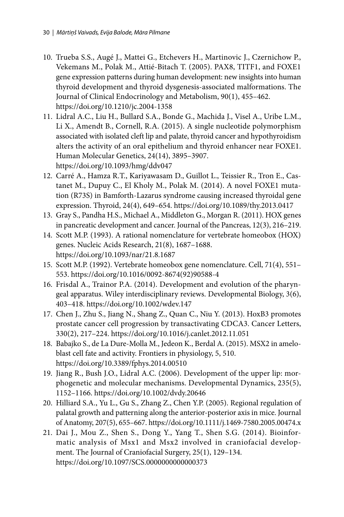- 10. Trueba S.S., Augé J., Mattei G., Etchevers H., Martinovic J., Czernichow P., Vekemans M., Polak M., Attié-Bitach T. (2005). PAX8, TITF1, and FOXE1 gene expression patterns during human development: new insights into human thyroid development and thyroid dysgenesis-associated malformations. The Journal of Clinical Endocrinology and Metabolism, 90(1), 455–462. https://doi.org/10.1210/jc.2004-1358
- 11. Lidral A.C., Liu H., Bullard S.A., Bonde G., Machida J., Visel A., Uribe L.M., Li X., Amendt B., Cornell, R.A. (2015). A single nucleotide polymorphism associated with isolated cleft lip and palate, thyroid cancer and hypothyroidism alters the activity of an oral epithelium and thyroid enhancer near FOXE1. Human Molecular Genetics, 24(14), 3895–3907. https://doi.org/10.1093/hmg/ddv047
- 12. Carré A., Hamza R.T., Kariyawasam D., Guillot L., Teissier R., Tron E., Castanet M., Dupuy C., El Kholy M., Polak M. (2014). A novel FOXE1 mutation (R73S) in Bamforth-Lazarus syndrome causing increased thyroidal gene expression. Thyroid, 24(4), 649–654. https://doi.org/10.1089/thy.2013.0417
- 13. Gray S., Pandha H.S., Michael A., Middleton G., Morgan R. (2011). HOX genes in pancreatic development and cancer. Journal of the Pancreas, 12(3), 216–219.
- 14. Scott M.P. (1993). A rational nomenclature for vertebrate homeobox (HOX) genes. Nucleic Acids Research, 21(8), 1687–1688. https://doi.org/10.1093/nar/21.8.1687
- 15. Scott M.P. (1992). Vertebrate homeobox gene nomenclature. Cell, 71(4), 551– 553. [https://doi.org/10.1016/0092-8674\(92\)90588-4](https://www.sciencedirect.com/science/article/abs/pii/0092867492905884?via%3Dihub)
- 16. Frisdal A., Trainor P.A. (2014). Development and evolution of the pharyngeal apparatus. Wiley interdisciplinary reviews. Developmental Biology, 3(6), 403–418. https://doi.org/10.1002/wdev.147
- 17. Chen J., Zhu S., Jiang N., Shang Z., Quan C., Niu Y. (2013). HoxB3 promotes prostate cancer cell progression by transactivating CDCA3. Cancer Letters, 330(2), 217–224. https://doi.org/10.1016/j.canlet.2012.11.051
- 18. Babajko S., de La Dure-Molla M., Jedeon K., Berdal A. (2015). MSX2 in ameloblast cell fate and activity. Frontiers in physiology, 5, 510. https://doi.org/10.3389/fphys.2014.00510
- 19. Jiang R., Bush J.O., Lidral A.C. (2006). Development of the upper lip: morphogenetic and molecular mechanisms. Developmental Dynamics, 235(5), 1152–1166. https://doi.org/10.1002/dvdy.20646
- 20. Hilliard S.A., Yu L., Gu S., Zhang Z., Chen Y.P. (2005). Regional regulation of palatal growth and patterning along the anterior-posterior axis in mice. Journal of Anatomy, 207(5), 655–667. https://doi.org/10.1111/j.1469-7580.2005.00474.x
- 21. Dai J., Mou Z., Shen S., Dong Y., Yang T., Shen S.G. (2014). Bioinformatic analysis of Msx1 and Msx2 involved in craniofacial development. The Journal of Craniofacial Surgery, 25(1), 129–134. https://doi.org/10.1097/SCS.0000000000000373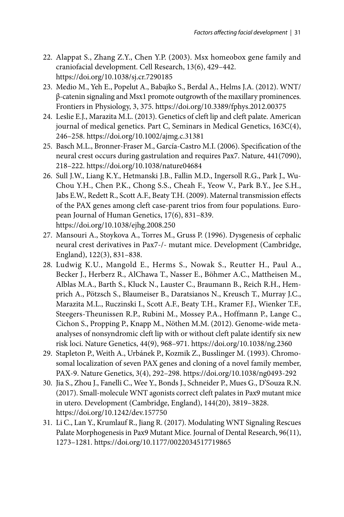- 22. Alappat S., Zhang Z.Y., Chen Y.P. (2003). Msx homeobox gene family and cranio facial development. Cell Research, 13(6), 429-442. https://doi.org/10.1038/sj.cr.7290185
- 23. Medio M., Yeh E., Popelut A., Babajko S., Berdal A., Helms J.A. (2012). WNT/ β-catenin signaling and Msx1 promote outgrowth of the maxillary prominences. Frontiers in Physiology, 3, 375. https://doi.org/10.3389/fphys.2012.00375
- 24. Leslie E.J., Marazita M.L. (2013). Genetics of cleft lip and cleft palate. American journal of medical genetics. Part C, Seminars in Medical Genetics, 163C(4), 246–258. https://doi.org/10.1002/ajmg.c.31381
- 25. Basch M.L., Bronner-Fraser M., García-Castro M.I. (2006). Specification of the neural crest occurs during gastrulation and requires Pax7. Nature, 441(7090), 218–222. https://doi.org/10.1038/nature04684
- 26. Sull J.W., Liang K.Y., Hetmanski J.B., Fallin M.D., Ingersoll R.G., Park J., Wu-Chou Y.H., Chen P.K., Chong S.S., Cheah F., Yeow V., Park B.Y., Jee S.H., Jabs E.W., Redett R., Scott A.F., Beaty T.H. (2009). Maternal transmission effects of the PAX genes among cleft case-parent trios from four populations. European Journal of Human Genetics, 17(6), 831–839. https://doi.org/10.1038/ejhg.2008.250
- 27. Mansouri A., Stoykova A., Torres M., Gruss P. (1996). Dysgenesis of cephalic neural crest derivatives in Pax7-/- mutant mice. Development (Cambridge, England), 122(3), 831–838.
- 28. Ludwig K.U., Mangold E., Herms S., Nowak S., Reutter H., Paul A., Becker J., Herberz R., AlChawa T., Nasser E., Böhmer A.C., Mattheisen M., Alblas M.A., Barth S., Kluck N., Lauster C., Braumann B., Reich R.H., Hemprich A., Pötzsch S., Blaumeiser B., Daratsianos N., Kreusch T., Murray J.C., Marazita M.L., Ruczinski I., Scott A.F., Beaty T.H., Kramer F.J., Wienker T.F., Steegers-Theunissen R.P., Rubini M., Mossey P.A., Hoffmann P., Lange C., Cichon S., Propping P., Knapp M., Nöthen M.M. (2012). Genome-wide metaanalyses of nonsyndromic cleft lip with or without cleft palate identify six new risk loci. Nature Genetics, 44(9), 968–971. https://doi.org/10.1038/ng.2360
- 29. Stapleton P., Weith A., Urbánek P., Kozmik Z., Busslinger M. (1993). Chromosomal localization of seven PAX genes and cloning of a novel family member, PAX-9. Nature Genetics, 3(4), 292–298. https://doi.org/10.1038/ng0493-292
- 30. Jia S., Zhou J., Fanelli C., Wee Y., Bonds J., Schneider P., Mues G., D'Souza R.N. (2017). Small-molecule WNT agonists correct cleft palates in Pax9 mutant mice in utero. Development (Cambridge, England), 144(20), 3819–3828. https://doi.org/10.1242/dev.157750
- 31. Li C., Lan Y., Krumlauf R., Jiang R. (2017). Modulating WNT Signaling Rescues Palate Morphogenesis in Pax9 Mutant Mice. Journal of Dental Research, 96(11), 1273–1281. https://doi.org/10.1177/0022034517719865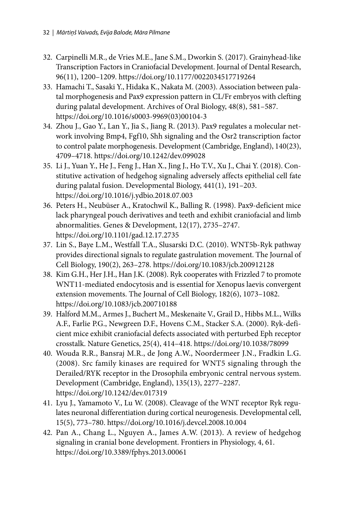- 32. Carpinelli M.R., de Vries M.E., Jane S.M., Dworkin S. (2017). Grainyhead-like Transcription Factors in Craniofacial Development. Journal of Dental Research, 96(11), 1200–1209. https://doi.org/10.1177/0022034517719264
- 33. Hamachi T., Sasaki Y., Hidaka K., Nakata M. (2003). Association between palatal morphogenesis and Pax9 expression pattern in CL/Fr embryos with clefting during palatal development. Archives of Oral Biology, 48(8), 581–587. [https://doi.org/10.1016/s0003-9969\(03\)00104-3](https://doi.org/10.1016/S0003-9969(03)00104-3)
- 34. Zhou J., Gao Y., Lan Y., Jia S., Jiang R. (2013). Pax9 regulates a molecular network involving Bmp4, Fgf10, Shh signaling and the Osr2 transcription factor to control palate morphogenesis. Development (Cambridge, England), 140(23), 4709–4718. https://doi.org/10.1242/dev.099028
- 35. Li J., Yuan Y., He J., Feng J., Han X., Jing J., Ho T.V., Xu J., Chai Y. (2018). Constitutive activation of hedgehog signaling adversely affects epithelial cell fate during palatal fusion. Developmental Biology, 441(1), 191–203. https://doi.org/10.1016/j.ydbio.2018.07.003
- 36. Peters H., Neubüser A., Kratochwil K., Balling R. (1998). Pax9-deficient mice lack pharyngeal pouch derivatives and teeth and exhibit craniofacial and limb abnormalities. Genes & Development, 12(17), 2735–2747. https://doi.org/10.1101/gad.12.17.2735
- 37. Lin S., Baye L.M., Westfall T.A., Slusarski D.C. (2010). WNT5b-Ryk pathway provides directional signals to regulate gastrulation movement. The Journal of Cell Biology, 190(2), 263–278. https://doi.org/10.1083/jcb.200912128
- 38. Kim G.H., Her J.H., Han J.K. (2008). Ryk cooperates with Frizzled 7 to promote WNT11-mediated endocytosis and is essential for Xenopus laevis convergent extension movements. The Journal of Cell Biology, 182(6), 1073–1082. https://doi.org/10.1083/jcb.200710188
- 39. Halford M.M., Armes J., Buchert M., Meskenaite V., Grail D., Hibbs M.L., Wilks A.F., Farlie P.G., Newgreen D.F., Hovens C.M., Stacker S.A. (2000). Ryk-deficient mice exhibit craniofacial defects associated with perturbed Eph receptor crosstalk. Nature Genetics, 25(4), 414–418. https://doi.org/10.1038/78099
- 40. Wouda R.R., Bansraj M.R., de Jong A.W., Noordermeer J.N., Fradkin L.G. (2008). Src family kinases are required for WNT5 signaling through the Derailed/RYK receptor in the Drosophila embryonic central nervous system. Development (Cambridge, England), 135(13), 2277–2287. https://doi.org/10.1242/dev.017319
- 41. Lyu J., Yamamoto V., Lu W. (2008). Cleavage of the WNT receptor Ryk regulates neuronal differentiation during cortical neurogenesis. Developmental cell, 15(5), 773–780. https://doi.org/10.1016/j.devcel.2008.10.004
- 42. Pan A., Chang L., Nguyen A., James A.W. (2013). A review of hedgehog signaling in cranial bone development. Frontiers in Physiology, 4, 61. https://doi.org/10.3389/fphys.2013.00061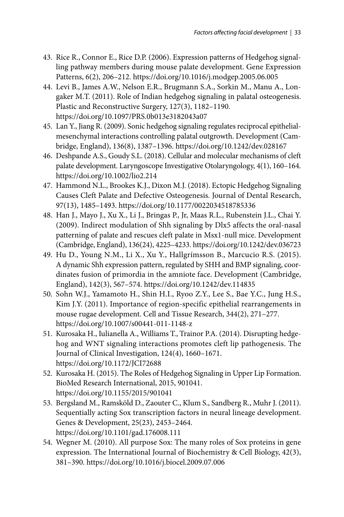- 43. Rice R., Connor E., Rice D.P. (2006). Expression patterns of Hedgehog signalling pathway members during mouse palate development. Gene Expression Patterns, 6(2), 206–212. https://doi.org/10.1016/j.modgep.2005.06.005
- 44. Levi B., James A.W., Nelson E.R., Brugmann S.A., Sorkin M., Manu A., Longaker M.T. (2011). Role of Indian hedgehog signaling in palatal osteogenesis. Plastic and Reconstructive Surgery, 127(3), 1182–1190. https://doi.org/10.1097/PRS.0b013e3182043a07
- 45. Lan Y., Jiang R. (2009). Sonic hedgehog signaling regulates reciprocal epithelialmesenchymal interactions controlling palatal outgrowth. Development (Cambridge, England), 136(8), 1387–1396. https://doi.org/10.1242/dev.028167
- 46. Deshpande A.S., Goudy S.L. (2018). Cellular and molecular mechanisms of cleft palate development. Laryngoscope Investigative Otolaryngology, 4(1), 160–164. https://doi.org/10.1002/lio2.214
- 47. Hammond N.L., Brookes K.J., Dixon M.J. (2018). Ectopic Hedgehog Signaling Causes Cleft Palate and Defective Osteogenesis. Journal of Dental Research, 97(13), 1485–1493. https://doi.org/10.1177/0022034518785336
- 48. Han J., Mayo J., Xu X., Li J., Bringas P., Jr, Maas R.L., Rubenstein J.L., Chai Y. (2009). Indirect modulation of Shh signaling by Dlx5 affects the oral-nasal patterning of palate and rescues cleft palate in Msx1-null mice. Development (Cambridge, England), 136(24), 4225–4233. https://doi.org/10.1242/dev.036723
- 49. Hu D., Young N.M., Li X., Xu Y., Hallgrímsson B., Marcucio R.S. (2015). A dynamic Shh expression pattern, regulated by SHH and BMP signaling, coordinates fusion of primordia in the amniote face. Development (Cambridge, England), 142(3), 567–574. https://doi.org/10.1242/dev.114835
- 50. Sohn W.J., Yamamoto H., Shin H.I., Ryoo Z.Y., Lee S., Bae Y.C., Jung H.S., Kim J.Y. (2011). Importance of region-specific epithelial rearrangements in mouse rugae development. Cell and Tissue Research, 344(2), 271–277. https://doi.org/10.1007/s00441-011-1148-z
- 51. Kurosaka H., Iulianella A., Williams T., Trainor P.A. (2014). Disrupting hedgehog and WNT signaling interactions promotes cleft lip pathogenesis. The Journal of Clinical Investigation, 124(4), 1660–1671. https://doi.org/10.1172/JCI72688
- 52. Kurosaka H. (2015). The Roles of Hedgehog Signaling in Upper Lip Formation. BioMed Research International, 2015, 901041. https://doi.org/10.1155/2015/901041
- 53. Bergsland M., Ramsköld D., Zaouter C., Klum S., Sandberg R., Muhr J. (2011). Sequentially acting Sox transcription factors in neural lineage development. Genes & Development, 25(23), 2453–2464. https://doi.org/10.1101/gad.176008.111
- 54. Wegner M. (2010). All purpose Sox: The many roles of Sox proteins in gene expression. The International Journal of Biochemistry & Cell Biology, 42(3), 381–390. https://doi.org/10.1016/j.biocel.2009.07.006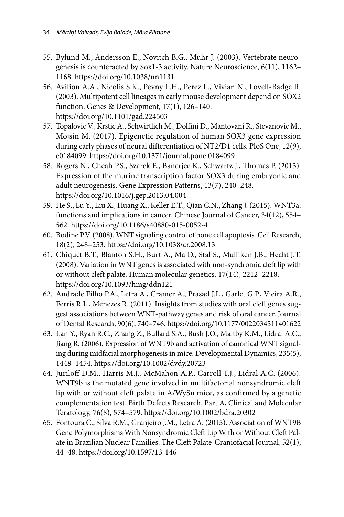- 55. Bylund M., Andersson E., Novitch B.G., Muhr J. (2003). Vertebrate neurogenesis is counteracted by Sox1-3 activity. Nature Neuroscience, 6(11), 1162– 1168. https://doi.org/10.1038/nn1131
- 56. Avilion A.A., Nicolis S.K., Pevny L.H., Perez L., Vivian N., Lovell-Badge R. (2003). Multipotent cell lineages in early mouse development depend on SOX2 function. Genes & Development, 17(1), 126–140. https://doi.org/10.1101/gad.224503
- 57. Topalovic V., Krstic A., Schwirtlich M., Dolfini D., Mantovani R., Stevanovic M., Mojsin M. (2017). Epigenetic regulation of human SOX3 gene expression during early phases of neural differentiation of NT2/D1 cells. PloS One, 12(9), e0184099. https://doi.org/10.1371/journal.pone.0184099
- 58. Rogers N., Cheah P.S., Szarek E., Banerjee K., Schwartz J., Thomas P. (2013). Expression of the murine transcription factor SOX3 during embryonic and adult neurogenesis. Gene Expression Patterns, 13(7), 240–248. https://doi.org/10.1016/j.gep.2013.04.004
- 59. He S., Lu Y., Liu X., Huang X., Keller E.T., Qian C.N., Zhang J. (2015). WNT3a: functions and implications in cancer. Chinese Journal of Cancer, 34(12), 554– 562. https://doi.org/10.1186/s40880-015-0052-4
- 60. Bodine P.V. (2008). WNT signaling control of bone cell apoptosis. Cell Research, 18(2), 248–253. https://doi.org/10.1038/cr.2008.13
- 61. Chiquet B.T., Blanton S.H., Burt A., Ma D., Stal S., Mulliken J.B., Hecht J.T. (2008). Variation in WNT genes is associated with non-syndromic cleft lip with or without cleft palate. Human molecular genetics, 17(14), 2212–2218. https://doi.org/10.1093/hmg/ddn121
- 62. Andrade Filho P.A., Letra A., Cramer A., Prasad J.L., Garlet G.P., Vieira A.R., Ferris R.L., Menezes R. (2011). Insights from studies with oral cleft genes suggest associations between WNT-pathway genes and risk of oral cancer. Journal of Dental Research, 90(6), 740–746. https://doi.org/10.1177/0022034511401622
- 63. Lan Y., Ryan R.C., Zhang Z., Bullard S.A., Bush J.O., Maltby K.M., Lidral A.C., Jiang R. (2006). Expression of WNT9b and activation of canonical WNT signaling during midfacial morphogenesis in mice. Developmental Dynamics, 235(5), 1448–1454. https://doi.org/10.1002/dvdy.20723
- 64. Juriloff D.M., Harris M.J., McMahon A.P., Carroll T.J., Lidral A.C. (2006). WNT9b is the mutated gene involved in multifactorial nonsyndromic cleft lip with or without cleft palate in A/WySn mice, as confirmed by a genetic complementation test. Birth Defects Research. Part A, Clinical and Molecular Teratology, 76(8), 574–579. https://doi.org/10.1002/bdra.20302
- 65. Fontoura C., Silva R.M., Granjeiro J.M., Letra A. (2015). Association of WNT9B Gene Polymorphisms With Nonsyndromic Cleft Lip With or Without Cleft Palate in Brazilian Nuclear Families. The Cleft Palate-Craniofacial Journal, 52(1), 44–48. https://doi.org/10.1597/13-146